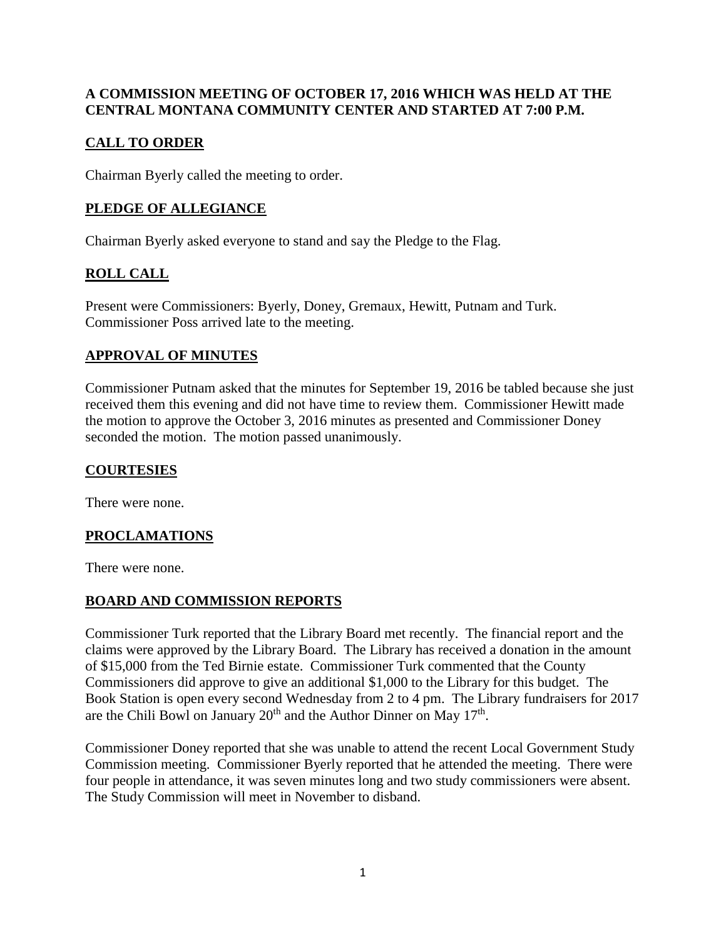#### **A COMMISSION MEETING OF OCTOBER 17, 2016 WHICH WAS HELD AT THE CENTRAL MONTANA COMMUNITY CENTER AND STARTED AT 7:00 P.M.**

## **CALL TO ORDER**

Chairman Byerly called the meeting to order.

## **PLEDGE OF ALLEGIANCE**

Chairman Byerly asked everyone to stand and say the Pledge to the Flag.

# **ROLL CALL**

Present were Commissioners: Byerly, Doney, Gremaux, Hewitt, Putnam and Turk. Commissioner Poss arrived late to the meeting.

## **APPROVAL OF MINUTES**

Commissioner Putnam asked that the minutes for September 19, 2016 be tabled because she just received them this evening and did not have time to review them. Commissioner Hewitt made the motion to approve the October 3, 2016 minutes as presented and Commissioner Doney seconded the motion. The motion passed unanimously.

#### **COURTESIES**

There were none.

#### **PROCLAMATIONS**

There were none.

## **BOARD AND COMMISSION REPORTS**

Commissioner Turk reported that the Library Board met recently. The financial report and the claims were approved by the Library Board. The Library has received a donation in the amount of \$15,000 from the Ted Birnie estate. Commissioner Turk commented that the County Commissioners did approve to give an additional \$1,000 to the Library for this budget. The Book Station is open every second Wednesday from 2 to 4 pm. The Library fundraisers for 2017 are the Chili Bowl on January  $20<sup>th</sup>$  and the Author Dinner on May  $17<sup>th</sup>$ .

Commissioner Doney reported that she was unable to attend the recent Local Government Study Commission meeting. Commissioner Byerly reported that he attended the meeting. There were four people in attendance, it was seven minutes long and two study commissioners were absent. The Study Commission will meet in November to disband.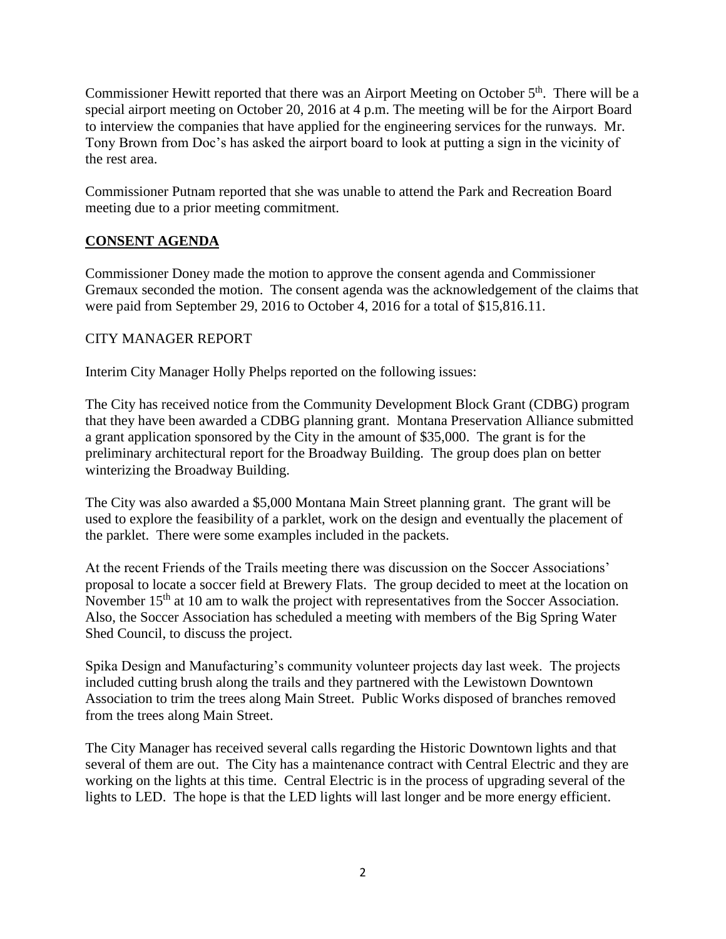Commissioner Hewitt reported that there was an Airport Meeting on October  $5<sup>th</sup>$ . There will be a special airport meeting on October 20, 2016 at 4 p.m. The meeting will be for the Airport Board to interview the companies that have applied for the engineering services for the runways. Mr. Tony Brown from Doc's has asked the airport board to look at putting a sign in the vicinity of the rest area.

Commissioner Putnam reported that she was unable to attend the Park and Recreation Board meeting due to a prior meeting commitment.

## **CONSENT AGENDA**

Commissioner Doney made the motion to approve the consent agenda and Commissioner Gremaux seconded the motion. The consent agenda was the acknowledgement of the claims that were paid from September 29, 2016 to October 4, 2016 for a total of \$15,816.11.

#### CITY MANAGER REPORT

Interim City Manager Holly Phelps reported on the following issues:

The City has received notice from the Community Development Block Grant (CDBG) program that they have been awarded a CDBG planning grant. Montana Preservation Alliance submitted a grant application sponsored by the City in the amount of \$35,000. The grant is for the preliminary architectural report for the Broadway Building. The group does plan on better winterizing the Broadway Building.

The City was also awarded a \$5,000 Montana Main Street planning grant. The grant will be used to explore the feasibility of a parklet, work on the design and eventually the placement of the parklet. There were some examples included in the packets.

At the recent Friends of the Trails meeting there was discussion on the Soccer Associations' proposal to locate a soccer field at Brewery Flats. The group decided to meet at the location on November 15<sup>th</sup> at 10 am to walk the project with representatives from the Soccer Association. Also, the Soccer Association has scheduled a meeting with members of the Big Spring Water Shed Council, to discuss the project.

Spika Design and Manufacturing's community volunteer projects day last week. The projects included cutting brush along the trails and they partnered with the Lewistown Downtown Association to trim the trees along Main Street. Public Works disposed of branches removed from the trees along Main Street.

The City Manager has received several calls regarding the Historic Downtown lights and that several of them are out. The City has a maintenance contract with Central Electric and they are working on the lights at this time. Central Electric is in the process of upgrading several of the lights to LED. The hope is that the LED lights will last longer and be more energy efficient.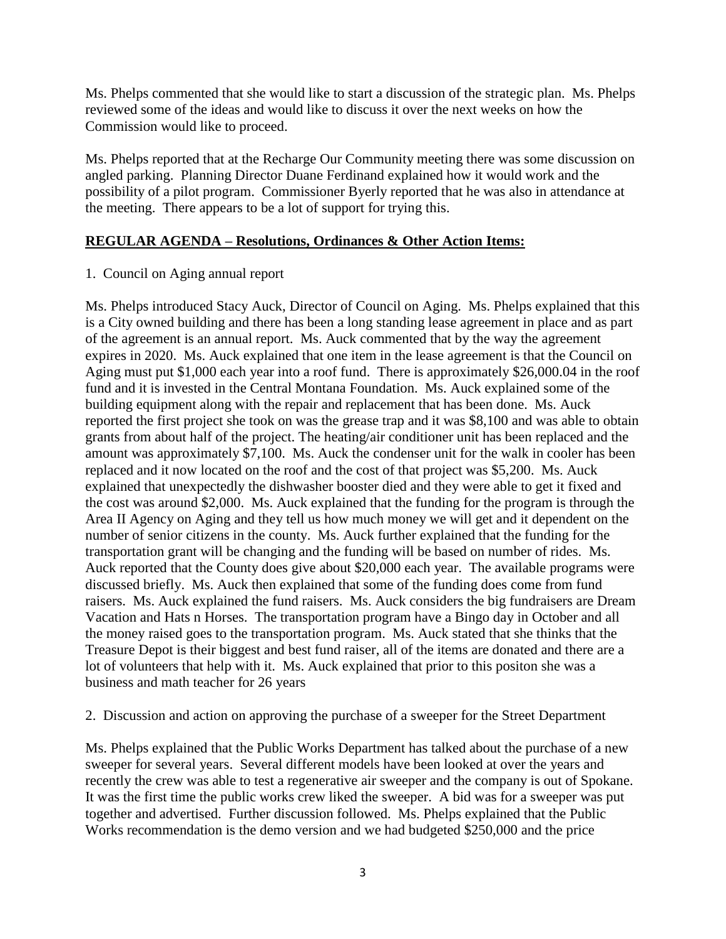Ms. Phelps commented that she would like to start a discussion of the strategic plan. Ms. Phelps reviewed some of the ideas and would like to discuss it over the next weeks on how the Commission would like to proceed.

Ms. Phelps reported that at the Recharge Our Community meeting there was some discussion on angled parking. Planning Director Duane Ferdinand explained how it would work and the possibility of a pilot program. Commissioner Byerly reported that he was also in attendance at the meeting. There appears to be a lot of support for trying this.

#### **REGULAR AGENDA – Resolutions, Ordinances & Other Action Items:**

1. Council on Aging annual report

Ms. Phelps introduced Stacy Auck, Director of Council on Aging. Ms. Phelps explained that this is a City owned building and there has been a long standing lease agreement in place and as part of the agreement is an annual report. Ms. Auck commented that by the way the agreement expires in 2020. Ms. Auck explained that one item in the lease agreement is that the Council on Aging must put \$1,000 each year into a roof fund. There is approximately \$26,000.04 in the roof fund and it is invested in the Central Montana Foundation. Ms. Auck explained some of the building equipment along with the repair and replacement that has been done. Ms. Auck reported the first project she took on was the grease trap and it was \$8,100 and was able to obtain grants from about half of the project. The heating/air conditioner unit has been replaced and the amount was approximately  $\frac{$}{57,100}$ . Ms. Auck the condenser unit for the walk in cooler has been replaced and it now located on the roof and the cost of that project was \$5,200. Ms. Auck explained that unexpectedly the dishwasher booster died and they were able to get it fixed and the cost was around \$2,000. Ms. Auck explained that the funding for the program is through the Area II Agency on Aging and they tell us how much money we will get and it dependent on the number of senior citizens in the county. Ms. Auck further explained that the funding for the transportation grant will be changing and the funding will be based on number of rides. Ms. Auck reported that the County does give about \$20,000 each year. The available programs were discussed briefly. Ms. Auck then explained that some of the funding does come from fund raisers. Ms. Auck explained the fund raisers. Ms. Auck considers the big fundraisers are Dream Vacation and Hats n Horses. The transportation program have a Bingo day in October and all the money raised goes to the transportation program. Ms. Auck stated that she thinks that the Treasure Depot is their biggest and best fund raiser, all of the items are donated and there are a lot of volunteers that help with it. Ms. Auck explained that prior to this positon she was a business and math teacher for 26 years

2. Discussion and action on approving the purchase of a sweeper for the Street Department

Ms. Phelps explained that the Public Works Department has talked about the purchase of a new sweeper for several years. Several different models have been looked at over the years and recently the crew was able to test a regenerative air sweeper and the company is out of Spokane. It was the first time the public works crew liked the sweeper. A bid was for a sweeper was put together and advertised. Further discussion followed. Ms. Phelps explained that the Public Works recommendation is the demo version and we had budgeted \$250,000 and the price